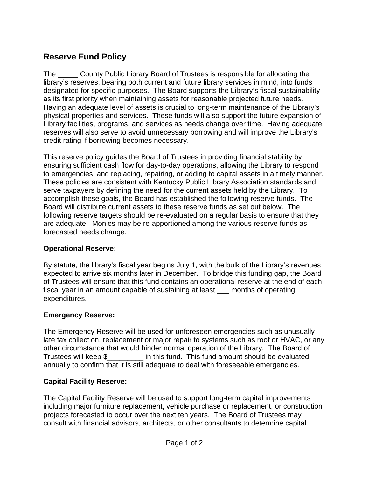# **Reserve Fund Policy**

The \_\_\_\_\_ County Public Library Board of Trustees is responsible for allocating the library's reserves, bearing both current and future library services in mind, into funds designated for specific purposes. The Board supports the Library's fiscal sustainability as its first priority when maintaining assets for reasonable projected future needs. Having an adequate level of assets is crucial to long-term maintenance of the Library's physical properties and services. These funds will also support the future expansion of Library facilities, programs, and services as needs change over time. Having adequate reserves will also serve to avoid unnecessary borrowing and will improve the Library's credit rating if borrowing becomes necessary.

This reserve policy guides the Board of Trustees in providing financial stability by ensuring sufficient cash flow for day-to-day operations, allowing the Library to respond to emergencies, and replacing, repairing, or adding to capital assets in a timely manner. These policies are consistent with Kentucky Public Library Association standards and serve taxpayers by defining the need for the current assets held by the Library. To accomplish these goals, the Board has established the following reserve funds. The Board will distribute current assets to these reserve funds as set out below. The following reserve targets should be re-evaluated on a regular basis to ensure that they are adequate. Monies may be re-apportioned among the various reserve funds as forecasted needs change.

#### **Operational Reserve:**

By statute, the library's fiscal year begins July 1, with the bulk of the Library's revenues expected to arrive six months later in December. To bridge this funding gap, the Board of Trustees will ensure that this fund contains an operational reserve at the end of each fiscal year in an amount capable of sustaining at least \_\_\_ months of operating expenditures.

## **Emergency Reserve:**

The Emergency Reserve will be used for unforeseen emergencies such as unusually late tax collection, replacement or major repair to systems such as roof or HVAC, or any other circumstance that would hinder normal operation of the Library. The Board of Trustees will keep \$\_\_\_\_\_\_\_\_\_ in this fund. This fund amount should be evaluated annually to confirm that it is still adequate to deal with foreseeable emergencies.

## **Capital Facility Reserve:**

The Capital Facility Reserve will be used to support long-term capital improvements including major furniture replacement, vehicle purchase or replacement, or construction projects forecasted to occur over the next ten years. The Board of Trustees may consult with financial advisors, architects, or other consultants to determine capital